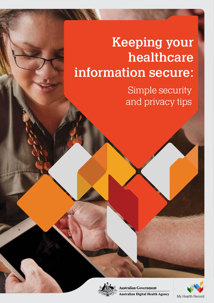# Keeping your healthcare information secure:

Simple security and privacy tips



Australian Government **Australian Digital Health Agency** 

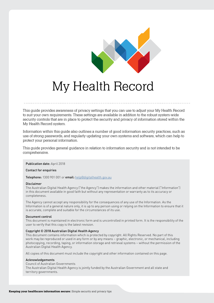

# My Health Record

This guide provides awareness of privacy settings that you can use to adjust your My Health Record to suit your own requirements. These settings are available in addition to the robust system-wide security controls that are in place to protect the security and privacy of information stored within the My Health Record system.

Information within this guide also outlines a number of good information security practices, such as use of strong passwords, and regularly updating your own systems and software, which can help to protect your personal information.

This guide provides general guidance in relation to information security and is not intended to be comprehensive.

#### Publication date: April 2018

Contact for enquiries

Telephone: 1300 901 001 or email: help@digitalhealth.gov.au

#### Disclaimer

The Australian Digital Health Agency ("the Agency") makes the information and other material ("Information") in this document available in good faith but without any representation or warranty as to its accuracy or completeness.

The Agency cannot accept any responsibility for the consequences of any use of the Information. As the Information is of a general nature only, it is up to any person using or relying on the Information to ensure that it is accurate, complete and suitable for the circumstances of its use.

#### Document control

This document is maintained in electronic form and is uncontrolled in printed form. It is the responsibility of the user to verify that this copy is the latest revision.

#### Copyright © 2018 Australian Digital Health Agency

This document contains information which is protected by copyright. All Rights Reserved. No part of this work may be reproduced or used in any form or by any means – graphic, electronic, or mechanical, including photocopying, recording, taping, or information storage and retrieval systems – without the permission of the Australian Digital Health Agency.

All copies of this document must include the copyright and other information contained on this page.

#### Acknowledgements

Council of Australian Governments

The Australian Digital Health Agency is jointly funded by the Australian Government and all state and territory governments.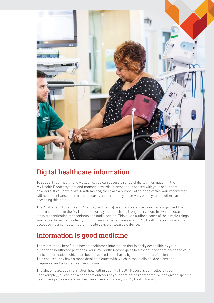

### Digital healthcare information

To support your health and wellbeing, you can access a range of digital information in the My Health Record system and manage how this information is shared with your healthcare providers. If you have a My Health Record, there are a number of settings within your record that will help to enhance information security and maintain your privacy when you and others are accessing this data.

The Australian Digital Health Agency (the Agency) has many safeguards in place to protect the information held in the My Health Record system such as strong encryption, firewalls, secure login/authentication mechanisms and audit logging. This guide outlines some of the simple things you can do to further protect your information that appears in your My Health Record; when it is accessed via a computer, tablet, mobile device or wearable device.

# Information is good medicine

There are many benefits to having healthcare information that is easily accessible by your authorised healthcare providers. Your My Health Record gives healthcare providers access to your clinical information, which has been prepared and shared by other health professionals. This ensures they have a more detailed picture with which to make clinical decisions and diagnoses, and provide treatment to you.

The ability to access information held within your My Health Record is controlled by you. For example, you can add a code that only you or your nominated representative can give to specific healthcare professionals so they can access and view your My Health Record.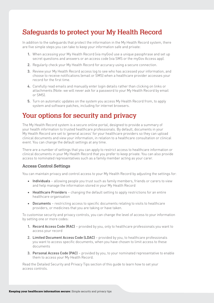## Safeguards to protect your My Health Record

In addition to the safeguards that protect the information in the My Health Record system, there are five simple steps you can take to keep your information safe and private:

- 1. When accessing your My Health Record (via myGov) use a unique passphrase and set up secret questions and answers or an access code (via SMS or the myGov Access app).
- 2. Regularly check your My Health Record for accuracy using a secure connection.
- 3. Review your My Health Record access log to see who has accessed your information, and choose to receive notifications (email or SMS) when a healthcare provider accesses your record for the first time.
- 4. Carefully read emails and manually enter login details rather than clicking on links or attachments (Note: we will never ask for a password to your My Health Record by email or SMS).
- 5. Turn on automatic updates on the system you access My Health Record from, to apply system and software patches, including for internet browsers.

### Your options for security and privacy

The My Health Record system is a secure online portal, designed to provide a summary of your health information to trusted healthcare professionals. By default, documents in your My Health Record are set to 'general access' for your healthcare providers so they can upload clinical documents and view your information, in relation to a healthcare consultation or clinical event. You can change the default settings at any time.

There are a number of settings that you can apply to restrict access to healthcare information or clinical documents in your My Health Record that you prefer to keep private. You can also provide access to nominated representatives such as a family member acting as your carer.

### Access Control Settings

You can maintain privacy and control access to your My Health Record by adjusting the settings for:

- Individuals allowing people you trust such as family members, friends or carers to view and help manage the information stored in your My Health Record
- Healthcare Providers changing the default setting to apply restrictions for an entire healthcare organisation
- Documents restricting access to specific documents relating to visits to healthcare providers, or medicines that you are taking or have taken.

To customise security and privacy controls, you can change the level of access to your information by setting one or more codes:

- 1. Record Access Code (RAC) provided by you, only to healthcare professionals you want to access your record
- 2. Limited Document Access Code (LDAC) provided by you, to healthcare professionals you want to access specific documents, when you have chosen to limit access to these documents
- 3. Personal Access Code (PAC) provided by you, to your nominated representative to enable them to access your My Health Record.

Read the Detailed Security and Privacy Tips section of this guide to learn how to set your access controls.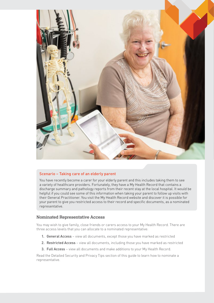

### Scenario – Taking care of an elderly parent

You have recently become a carer for your elderly parent and this includes taking them to see a variety of healthcare providers. Fortunately, they have a My Health Record that contains a discharge summary and pathology reports from their recent stay at the local hospital. It would be helpful if you could see some of this information when taking your parent to follow up visits with their General Practitioner. You visit the My Health Record website and discover it is possible for your parent to give you restricted access to their record and specific documents, as a nominated representative.

### Nominated Representative Access

You may wish to give family, close friends or carers access to your My Health Record. There are three access levels that you can allocate to a nominated representative:

- 1. General Access view all documents, except those you have marked as restricted
- 2. Restricted Access view all documents, including those you have marked as restricted
- 3. Full Access view all documents and make additions to your My Health Record.

Read the Detailed Security and Privacy Tips section of this guide to learn how to nominate a representative.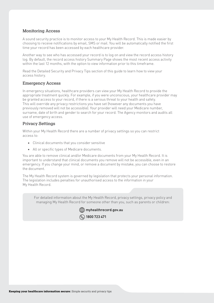### Monitoring Access

A sound security practice is to monitor access to your My Health Record. This is made easier by choosing to receive notifications by email, SMS or mail. You will be automatically notified the first time your record has been accessed by each healthcare provider.

Another way to see who has accessed your record is to log on and view the record access history log. By default, the record access history Summary Page shows the most recent access activity within the last 12 months, with the option to view information prior to this timeframe.

Read the Detailed Security and Privacy Tips section of this guide to learn how to view your access history.

### Emergency Access

In emergency situations, healthcare providers can view your My Health Record to provide the appropriate treatment quickly. For example, if you were unconscious, your healthcare provider may be granted access to your record, if there is a serious threat to your health and safety. This will override any privacy restrictions you have set (however any documents you have previously removed will not be accessible). Your provider will need your Medicare number, surname, date of birth and gender to search for your record. The Agency monitors and audits all use of emergency access.

### Privacy Settings

Within your My Health Record there are a number of privacy settings so you can restrict access to:

- Clinical documents that you consider sensitive
- All or specific types of Medicare documents.

You are able to remove clinical and/or Medicare documents from your My Health Record. It is important to understand that clinical documents you remove will not be accessible, even in an emergency. If you change your mind, or remove a document by mistake, you can choose to restore the document.

The My Health Record system is governed by legislation that protects your personal information. The legislation includes penalties for unauthorised access to the information in your My Health Record.

For detailed information about the My Health Record, privacy settings, privacy policy and managing My Health Record for someone other than you, such as parents or children:

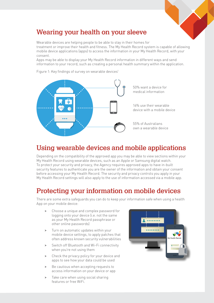

# Wearing your health on your sleeve

Wearable devices are helping people to be able to stay in their homes for treatment or improve their health and fitness. The My Health Record system is capable of allowing mobile device applications (apps) to access the information in your My Health Record, with your consent.

Apps may be able to display your My Health Record information in different ways and send information to your record, such as creating a personal health summary within the application.

Figure 1: Key findings of survey on wearable devices<sup>1</sup>



## Using wearable devices and mobile applications

Depending on the compatibility of the approved app you may be able to view sections within your My Health Record using wearable devices, such as an Apple or Samsung digital watch. To protect your security and privacy, the Agency requires approved apps to have in-built security features to authenticate you are the owner of the information and obtain your consent before accessing your My Health Record. The security and privacy controls you apply in your My Health Record settings will also apply to the use of information accessed via a mobile app.

# Protecting your information on mobile devices

There are some extra safeguards you can do to keep your information safe when using a health App on your mobile device:

- > Choose a unique and complex password for logging onto your device (i.e. not the same as your My Health Record passphrase or other online passwords)
- > Turn on automatic updates within your mobile device settings, to apply patches that often address known security vulnerabilities
- > Switch off Bluetooth and Wi-Fi connectivity when you're not using them
- > Check the privacy policy for your device and apps to see how your data could be used
- Be cautious when accepting requests to access information on your device or app
- > Take care when using social sharing features or free WiFi.

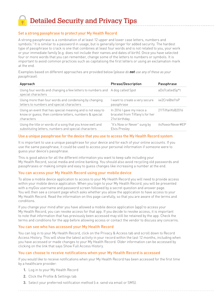Detailed Security and Privacy Tips

### Set a strong passphrase to protect your My Health Record

A strong passphrase is a combination of at least 12 upper and lower case letters, numbers and symbols.2 It is similar to a password in usage, but is generally longer for added security. The hardest type of passphrase to crack is one that combines at least four words and is not related to you, your work or your immediate family (e.g. does not include their names and dates of birth). Once you have selected four or more words that you can remember, change some of the letters to numbers or symbols. It is important to avoid common practices such as capitalising the first letters or using an exclamation mark at the end.

Examples based on different approaches are provided below (*please do not use any of these as your passphrase*):

| Approach                                                                                                                           | <b>Phrase/Description</b>                                                      | Passphrase       |
|------------------------------------------------------------------------------------------------------------------------------------|--------------------------------------------------------------------------------|------------------|
| Using four words and changing a few letters to numbers and A dog called Spot<br>special characters                                 |                                                                                | aDo7calledSp*t   |
| Using more than four words and condensing by changing<br>letters to numbers and special characters                                 | I want to create a very secure<br>passphrase                                   | iw2Cre@te1!sP    |
| Using an event that has special meaning and is not easy to<br>know or quess; then combine letters, numbers & special<br>characters | In 2016 I gave my niece a<br>bracelet from Tiffany's for her<br>21st birthday. | 21!TiffanYs@2016 |
| Using the title or words of a song that you know well and<br>substituting letters, numbers and special characters                  | "It's Now or Never" sung by<br>Elvis Presley                                   | its9oworNever#EP |

### Use a unique passphrase for the device that you use to access the My Health Record system

It is important to use a unique passphrase for your device and for each of your online accounts. If you use the same passphrase, it could be used to access your personal information if someone were to guess your device's passphrase.

This is good advice for all the different information you want to keep safe including your My Health Record, social media and online banking. You should also avoid recycling old passwords and passphrases or making simple and easy to guess changes like increasing a number at the end.

### You can access your My Health Record using your mobile device

To allow a mobile device application to access to your My Health Record you will need to provide access within your mobile device application. When you login to your My Health Record, you will be presented with a myGov username and password screen followed by a secret question and answer page. You will then see a consent page which asks whether you allow the application to have access to your My Health Record. Read the information on this page carefully, so that you are aware of the terms and conditions.

If you change your mind after you have allowed a mobile device application (app) to access your My Health Record, you can revoke access for that app. If you decide to revoke access, it is important to note that information that has previously been accessed may still be retained by the app. Check the terms and conditions for the app before allowing access or contact the vendor to discuss any concerns.

### You can see who has accessed your My Health Record

You can log in to your My Health Record, click on the Privacy & Access tab and scroll down to Record Access History. This will show the latest activity in your record within the last 12 months, including when you have accessed or made changes to your My Health Record. Older information can be accessed by clicking on the link that says Show Full Access History.

### You can choose to receive notifications when your My Health Record is accessed

If you would like to receive notifications when your My Health Record has been accessed for the first time by a healthcare provider:

- 1. Log in to your My Health Record
- 2. Click the Profile & Settings tab
- 3. Select your preferred notification method (i.e. send via email or SMS).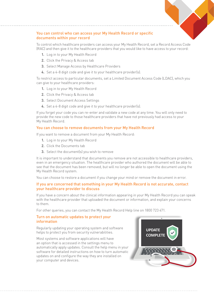

### You can control who can access your My Health Record or specific documents within your record

To control which healthcare providers can access your My Health Record, set a Record Access Code (RAC) and then give it to the healthcare providers that you would like to have access to your record:

- 1. Log in to your My Health Record
- 2. Click the Privacy & Access tab
- 3. Select Manage Access by Healthcare Providers
- 4. Set a 4-8 digit code and give it to your healthcare provider(s).

To restrict access to particular documents, set a Limited Document Access Code (LDAC), which you can give to your healthcare providers:

- 1. Log in to your My Health Record
- 2. Click the Privacy & Access tab
- 3. Select Document Access Settings
- 4. Set a 4-8 digit code and give it to your healthcare provider(s).

If you forget your code you can re-enter and validate a new code at any time. You will only need to provide the new code to those healthcare providers that have not previously had access to your My Health Record.

### You can choose to remove documents from your My Health Record

If you want to remove a document from your My Health Record:

- 1. Log in to your My Health Record
- 2. Click the Documents tab
- 3. Select the document(s) you wish to remove

It is important to understand that documents you remove are not accessible to healthcare providers, even in an emergency situation. The healthcare provider who authored the document will be able to see that the document has been removed, but will no longer be able to open the document using the My Health Record system.

You can choose to restore a document if you change your mind or remove the document in error.

### If you are concerned that something in your My Health Record is not accurate, contact your healthcare provider to discuss

If you have a concern about the clinical information appearing in your My Health Record you can speak with the healthcare provider that uploaded the document or information, and explain your concerns to them.

For other queries, you can contact the My Health Record Help line on 1800 723 471.

### Turn on automatic updates to protect your information

Regularly updating your operating system and software helps to protect you from security vulnerabilities.

Most systems and software applications will have an option that is accessed in the settings menu to automatically apply updates. Consult the help menu in your software for detailed instructions on how to turn automatic updates on and configure the way they are installed on your computer and devices.

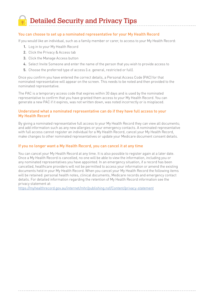Detailed Security and Privacy Tips

### You can choose to set up a nominated representative for your My Health Record

If you would like an individual, such as a family member or carer, to access to your My Health Record:

- 1. Log in to your My Health Record
- 2. Click the Privacy & Access tab
- 3. Click the Manage Access button
- 4. Select Invite Someone and enter the name of the person that you wish to provide access to
- 5. Choose the preferred type of access (i.e. general, restricted or full).

Once you confirm you have entered the correct details, a Personal Access Code (PAC) for that nominated representative will appear on the screen. This needs to be noted and then provided to the nominated representative.

The PAC is a temporary access code that expires within 30 days and is used by the nominated representative to confirm that you have granted them access to your My Health Record. You can generate a new PAC if it expires, was not written down, was noted incorrectly or is misplaced.

### Understand what a nominated representative can do if they have full access to your My Health Record

By giving a nominated representative full access to your My Health Record they can view all documents; and add information such as any new allergies or your emergency contacts. A nominated representative with full access cannot register an individual for a My Health Record, cancel your My Health Record, make changes to other nominated representatives or update your Medicare document consent details.

#### If you no longer want a My Health Record, you can cancel it at any time

You can cancel your My Health Record at any time. It is also possible to register again at a later date. Once a My Health Record is cancelled, no one will be able to view the information, including you or any nominated representatives you have appointed. In an emergency situation, if a record has been cancelled, healthcare providers will not be permitted to access your information or amend the existing documents held in your My Health Record. When you cancel your My Health Record the following items will be retained: personal health notes, clinical documents, Medicare records and emergency contact details. For detailed information regarding the retention of My Health Record information see the privacy statement at:

https://myhealthrecord.gov.au/internet/mhr/publishing.nsf/Content/privacy-statement

Keeping your healthcare information secure: Simple security and privacy tips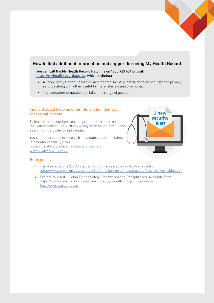

### How to find additional information and support for using My Health Record

You can call the My Health Record Help line on 1800 723 471 or visit: https://myhealthrecord.gov.au, which includes:

- A range of My Health Record guides for step-by-step instructions on security and privacy settings along with other useful forms, materials and brochures.
- The consumer simulation portal with a range of guides.

### Find out about keeping other information that you access online safe

To learn more about how you can protect other information that you access online, visit www.staysmartonline.gov.au and search for the guide for individuals.

You can also choose to receive free updates about the latest information security risks. Subscribe at www.staysmartonline.gov.au and www.scamwatch.gov.au.



### References

- 1. The Wearable Life 2.0 Connected living in a wearable world. Available from: https://www.pwc.com/us/en/industry/entertainment-media/assets/pwc-cis-wearables.pdf
- 2. Protect Yourself Doing Things Safely: Passwords and Passphrases. Available from: https://www.staysmartonline.gov.au/Protect-yourself/Doing-things-safely/ Passwords-passphrases